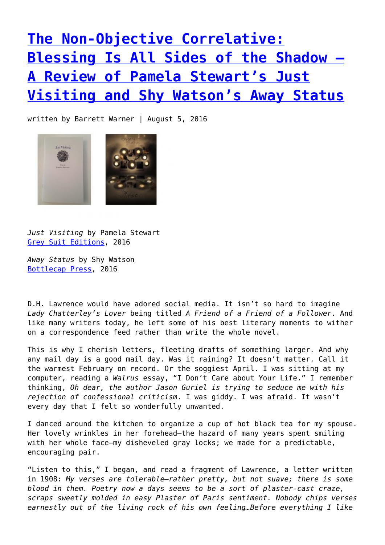**[The Non-Objective Correlative:](https://entropymag.org/the-non-objective-correlative-blessing-is-all-sides-of-the-shadow-a-review-of-pamela-stewarts-just-visiting-and-shy-watsons-away-status/) [Blessing Is All Sides of the Shadow –](https://entropymag.org/the-non-objective-correlative-blessing-is-all-sides-of-the-shadow-a-review-of-pamela-stewarts-just-visiting-and-shy-watsons-away-status/) [A Review of Pamela Stewart's Just](https://entropymag.org/the-non-objective-correlative-blessing-is-all-sides-of-the-shadow-a-review-of-pamela-stewarts-just-visiting-and-shy-watsons-away-status/) [Visiting and Shy Watson's Away Status](https://entropymag.org/the-non-objective-correlative-blessing-is-all-sides-of-the-shadow-a-review-of-pamela-stewarts-just-visiting-and-shy-watsons-away-status/)**

written by Barrett Warner | August 5, 2016



*Just Visiting* by Pamela Stewart [Grey Suit Editions,](http://greysuiteditions.org/shop/19-just-visiting) 2016

*Away Status* by Shy Watson [Bottlecap Press,](http://bottlecap-press.myshopify.com/products/awaystatus) 2016

D.H. Lawrence would have adored social media. It isn't so hard to imagine *Lady Chatterley's Lover* being titled *A Friend of a Friend of a Follower*. And like many writers today, he left some of his best literary moments to wither on a correspondence feed rather than write the whole novel.

This is why I cherish letters, fleeting drafts of something larger. And why any mail day is a good mail day. Was it raining? It doesn't matter. Call it the warmest February on record. Or the soggiest April. I was sitting at my computer, reading a *Walrus* essay, "I Don't Care about Your Life." I remember thinking, *Oh dear, the author Jason Guriel is trying to seduce me with his rejection of confessional criticism*. I was giddy. I was afraid. It wasn't every day that I felt so wonderfully unwanted.

I danced around the kitchen to organize a cup of hot black tea for my spouse. Her lovely wrinkles in her forehead—the hazard of many years spent smiling with her whole face—my disheveled gray locks; we made for a predictable, encouraging pair.

"Listen to this," I began, and read a fragment of Lawrence, a letter written in 1908: *My verses are tolerable–rather pretty, but not suave; there is some blood in them. Poetry now a days seems to be a sort of plaster-cast craze, scraps sweetly molded in easy Plaster of Paris sentiment. Nobody chips verses earnestly out of the living rock of his own feeling…Before everything I like*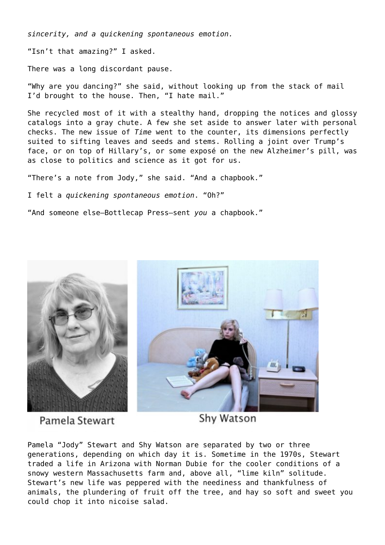*sincerity, and a quickening spontaneous emotion.*

"Isn't that amazing?" I asked.

There was a long discordant pause.

"Why are you dancing?" she said, without looking up from the stack of mail I'd brought to the house. Then, "I hate mail."

She recycled most of it with a stealthy hand, dropping the notices and glossy catalogs into a gray chute. A few she set aside to answer later with personal checks. The new issue of *Time* went to the counter, its dimensions perfectly suited to sifting leaves and seeds and stems. Rolling a joint over Trump's face, or on top of Hillary's, or some exposé on the new Alzheimer's pill, was as close to politics and science as it got for us.

"There's a note from Jody," she said. "And a chapbook."

I felt a *quickening spontaneous emotion*. "Oh?"

"And someone else—Bottlecap Press—sent *you* a chapbook."



Pamela Stewart

Shy Watson

Pamela "Jody" Stewart and Shy Watson are separated by two or three generations, depending on which day it is. Sometime in the 1970s, Stewart traded a life in Arizona with Norman Dubie for the cooler conditions of a snowy western Massachusetts farm and, above all, "lime kiln" solitude. Stewart's new life was peppered with the neediness and thankfulness of animals, the plundering of fruit off the tree, and hay so soft and sweet you could chop it into nicoise salad.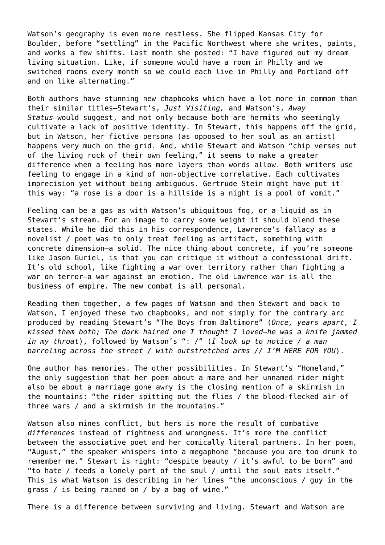Watson's geography is even more restless. She flipped Kansas City for Boulder, before "settling" in the Pacific Northwest where she writes, paints, and works a few shifts. Last month she posted: "I have figured out my dream living situation. Like, if someone would have a room in Philly and we switched rooms every month so we could each live in Philly and Portland off and on like alternating."

Both authors have stunning new chapbooks which have a lot more in common than their similar titles—Stewart's, *Just Visiting,* and Watson's, *Away Status*—would suggest, and not only because both are hermits who seemingly cultivate a lack of positive identity. In Stewart, this happens off the grid, but in Watson, her fictive persona (as opposed to her soul as an artist) happens very much on the grid. And, while Stewart and Watson "chip verses out of the living rock of their own feeling," it seems to make a greater difference when a feeling has more layers than words allow. Both writers use feeling to engage in a kind of non-objective correlative. Each cultivates imprecision yet without being ambiguous. Gertrude Stein might have put it this way: "a rose is a door is a hillside is a night is a pool of vomit."

Feeling can be a gas as with Watson's ubiquitous fog, or a liquid as in Stewart's stream. For an image to carry some weight it should blend these states. While he did this in his correspondence, Lawrence's fallacy as a novelist / poet was to only treat feeling as artifact, something with concrete dimension—a solid. The nice thing about concrete, if you're someone like Jason Guriel, is that you can critique it without a confessional drift. It's old school, like fighting a war over territory rather than fighting a war on terror—a war against an emotion. The old Lawrence war is all the business of empire. The new combat is all personal.

Reading them together, a few pages of Watson and then Stewart and back to Watson, I enjoyed these two chapbooks, and not simply for the contrary arc produced by reading Stewart's "The Boys from Baltimore" (*Once, years apart, I kissed them both; The dark haired one I thought I loved—he was a knife jammed in my throat*), followed by Watson's ": /" (*I look up to notice / a man barreling across the street / with outstretched arms // I'M HERE FOR YOU*).

One author has memories. The other possibilities. In Stewart's "Homeland," the only suggestion that her poem about a mare and her unnamed rider might also be about a marriage gone awry is the closing mention of a skirmish in the mountains: "the rider spitting out the flies / the blood-flecked air of three wars / and a skirmish in the mountains."

Watson also mines conflict, but hers is more the result of combative *differences* instead of rightness and wrongness. It's more the conflict between the associative poet and her comically literal partners. In her poem, "August," the speaker whispers into a megaphone "because you are too drunk to remember me." Stewart is right: "despite beauty / it's awful to be born" and "to hate / feeds a lonely part of the soul / until the soul eats itself." This is what Watson is describing in her lines "the unconscious / guy in the grass / is being rained on / by a bag of wine."

There is a difference between surviving and living. Stewart and Watson are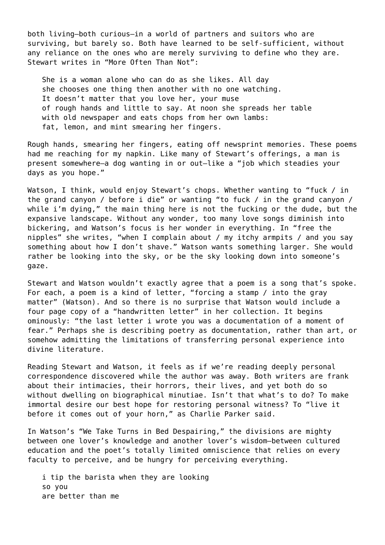both living—both curious—in a world of partners and suitors who are surviving, but barely so. Both have learned to be self-sufficient, without any reliance on the ones who are merely surviving to define who they are. Stewart writes in "More Often Than Not":

She is a woman alone who can do as she likes. All day she chooses one thing then another with no one watching. It doesn't matter that you love her, your muse of rough hands and little to say. At noon she spreads her table with old newspaper and eats chops from her own lambs: fat, lemon, and mint smearing her fingers.

Rough hands, smearing her fingers, eating off newsprint memories. These poems had me reaching for my napkin. Like many of Stewart's offerings, a man is present somewhere—a dog wanting in or out—like a "job which steadies your days as you hope."

Watson, I think, would enjoy Stewart's chops. Whether wanting to "fuck / in the grand canyon / before i die" or wanting "to fuck / in the grand canyon / while i'm dying," the main thing here is not the fucking or the dude, but the expansive landscape. Without any wonder, too many love songs diminish into bickering, and Watson's focus is her wonder in everything. In "free the nipples" she writes, "when I complain about / my itchy armpits / and you say something about how I don't shave." Watson wants something larger. She would rather be looking into the sky, or be the sky looking down into someone's gaze.

Stewart and Watson wouldn't exactly agree that a poem is a song that's spoke. For each, a poem is a kind of letter, "forcing a stamp / into the gray matter" (Watson). And so there is no surprise that Watson would include a four page copy of a "handwritten letter" in her collection. It begins ominously: "the last letter i wrote you was a documentation of a moment of fear." Perhaps she is describing poetry as documentation, rather than art, or somehow admitting the limitations of transferring personal experience into divine literature.

Reading Stewart and Watson, it feels as if we're reading deeply personal correspondence discovered while the author was away. Both writers are frank about their intimacies, their horrors, their lives, and yet both do so without dwelling on biographical minutiae. Isn't that what's to do? To make immortal desire our best hope for restoring personal witness? To "live it before it comes out of your horn," as Charlie Parker said.

In Watson's "We Take Turns in Bed Despairing," the divisions are mighty between one lover's knowledge and another lover's wisdom—between cultured education and the poet's totally limited omniscience that relies on every faculty to perceive, and be hungry for perceiving everything.

i tip the barista when they are looking so you are better than me